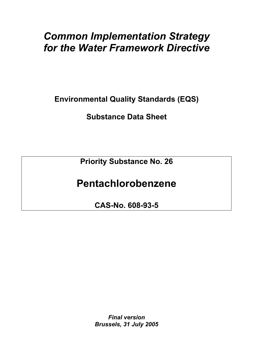# *Common Implementation Strategy for the Water Framework Directive*

**Environmental Quality Standards (EQS)** 

**Substance Data Sheet** 

**Priority Substance No. 26** 

# **Pentachlorobenzene**

**CAS-No. 608-93-5** 

*Final version Brussels, 31 July 2005*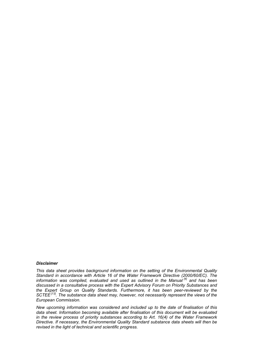#### *Disclaimer*

*This data sheet provides background information on the setting of the Environmental Quality Standard in accordance with Article 16 of the Water Framework Directive (2000/60/EC). The information was compiled, evaluated and used as outlined in the Manual [4] and has been discussed in a consultative process with the Expert Advisory Forum on Priority Substances and the Expert Group on Quality Standards. Furthermore, it has been peer-reviewed by the SCTEE [13]. The substance data sheet may, however, not necessarily represent the views of the European Commission.* 

*New upcoming information was considered and included up to the date of finalisation of this data sheet. Information becoming available after finalisation of this document will be evaluated in the review process of priority substances according to Art. 16(4) of the Water Framework Directive. If necessary, the Environmental Quality Standard substance data sheets will then be revised in the light of technical and scientific progress.*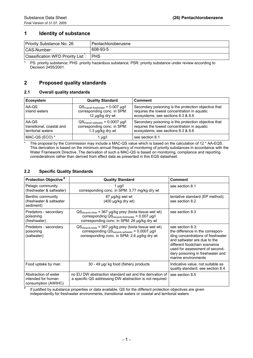# **1 Identity of substance**

| Priority Substance No: 26         | l Pentachlorobenzene |
|-----------------------------------|----------------------|
| CAS-Number:                       | 608-93-5             |
| Classification WFD Priority List: | ' PHS                |

\* PS: priority substance; PHS: priority hazardous substance; PSR: priority substance under review according to Decision 2455/2001.

# **2 Proposed quality standards**

#### **2.1 Overall quality standards**

| <b>Ecosystem</b>                                         | <b>Quality Standard</b>                                                                                         | <b>Comment</b>                                                                                                                             |
|----------------------------------------------------------|-----------------------------------------------------------------------------------------------------------------|--------------------------------------------------------------------------------------------------------------------------------------------|
| AA-QS<br>inland waters                                   | $\text{QS}_{\text{overall-freshwater}} = 0.007 \text{ µg/l}$<br>corresponding conc. in SPM:<br>12 µg/kg dry wt  | Secondary poisoning is the protection objective that<br>requires the lowest concentration in aquatic<br>ecosystems; see sections 8.3 & 8.6 |
| AA-QS<br>transitional, coastal and<br>territorial waters | $\text{QS}_{\text{overall-saltwater}} = 0.0007 \text{ µg/l}$<br>corresponding conc. in SPM:<br>1.3 µg/kg dry wt | Secondary poisoning is the protection objective that<br>requires the lowest concentration in aquatic<br>ecosystems; see sections 8.3 & 8.6 |
| MAC-QS (ECO) *                                           | 1 µg/l                                                                                                          | see section 8.1                                                                                                                            |

\* The proposal by the Commission may include a MAC-QS value which is based on the calculation of 12 \* AA-EQS. This derivation is based on the minimum annual frequency of monitoring of priority substances in accordance with the Water Framework Directive. The derivation of such a MAC-QS is based on monitoring, compliance and reporting Water Framework Directive. The derivation of such a MAC-QS is based on monitoring, compliance and reporting considerations rather than derived from effect data as presented in this EQS datasheet.

#### **2.2 Specific Quality Standards**

| <b>Protection Objective</b> #                                     | <b>Quality Standard</b>                                                                                                                                                                                   | <b>Comment</b>                                                                                                                                                                                                                                          |
|-------------------------------------------------------------------|-----------------------------------------------------------------------------------------------------------------------------------------------------------------------------------------------------------|---------------------------------------------------------------------------------------------------------------------------------------------------------------------------------------------------------------------------------------------------------|
| Pelagic community<br>(freshwater & saltwater)                     | 1 $\mu$ g/l<br>corresponding conc. in SPM: 3.77 mg/kg dry wt                                                                                                                                              | see section 8.1                                                                                                                                                                                                                                         |
| Benthic community<br>(freshwater & saltwater<br>sediment)         | 87 µg/kg wet wt<br>$(400 \mu g/kg$ dry wt)                                                                                                                                                                | tentative standard (EP method);<br>see section 8.2                                                                                                                                                                                                      |
| Predators - secondary<br>poisoning<br>(freshwater)                | $\text{QS}_{\text{seepois,biota}} = 367 \mu g/kg$ prey (biota tissue wet wt)<br>corresponding $\text{QS}_{\text{seepois.freshwater}} = 0.007 \text{ µg/l}$<br>corresponding conc. in SPM: 26 µg/kg dry wt | see section 8.3                                                                                                                                                                                                                                         |
| Predators - secondary<br>poisoning<br>(saltwater)                 | $\text{QS}_{\text{secpois.biota}}$ = 367 µg/kg prey (biota tissue wet wt)<br>corresponding QS <sub>secpois.saltwater</sub> = 0.0007 µg/l<br>corresponding conc. in SPM: 2.6 µg/kg dry wt                  | see section 8.3;<br>the difference in the correspon-<br>ding concentrations of freshwater<br>and saltwater are due to the<br>different foodchain scenarios<br>used for assessment of second-<br>dary poisoning in freshwater and<br>marine environments |
| Food uptake by man                                                | 30 - 49 µg/ kg food (fishery products                                                                                                                                                                     | Indicative value, not suitable as<br>quality standard; see section 8.4                                                                                                                                                                                  |
| Abstraction of water<br>intended for human<br>consumption (AWIHC) | no EU DW abstraction standard set and the derivation of<br>a specific QS addressing DW abstraction is not required                                                                                        | see section 8.5                                                                                                                                                                                                                                         |

If justified by substance properties or data available, QS for the different protection objectives are given independently for freshwater environments, transitional waters or coastal and territorial waters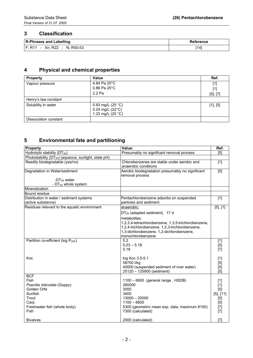# **3 Classification**

| <b>R-Phrases and Labelling</b>                                              | Reference |
|-----------------------------------------------------------------------------|-----------|
| Xn; R22<br>N: R50-53<br><b>F: R11</b><br>$\sim$<br>$\overline{\phantom{0}}$ | '141      |

# **4 Physical and chemical properties**

| <b>Property</b>       | Value                                                                     | Ref.          |
|-----------------------|---------------------------------------------------------------------------|---------------|
| Vapour pressure       | 4.84 Pa 20°C                                                              | $[1]$         |
|                       | $0.86$ Pa $25^{\circ}$ C                                                  | [1]           |
|                       | 2.2 Pa                                                                    | $[5]$ ; $[7]$ |
| Henry's law constant  |                                                                           |               |
| Solubility in water   | 0.83 mg/L $(25 °C)$<br>$0.24$ mg/L (22 $^{\circ}$ C)<br>1.33 mg/L (25 °C) | $[1]$ , $[5]$ |
| Dissociation constant |                                                                           |               |

# **5 Environmental fate and partitioning**

| <b>Property</b>                                                  | Value:                                                              | Ref.             |
|------------------------------------------------------------------|---------------------------------------------------------------------|------------------|
| Hydrolytic stability (DT <sub>50</sub> )                         | Presumably no significant removal process                           | [5]              |
| Photostability (DT <sub>50</sub> ) (aqueous, sunlight, state pH) |                                                                     |                  |
| Readily biodegradable (yes/no)                                   | Chlorobenzenes are stable under aerobic and<br>anaerobic conditions | $[1]$            |
| Degradation in Water/sediment                                    | Aerobic biodegradation presumably no significant<br>removal process | $\overline{[5]}$ |
| - $DT_{50}$ water                                                |                                                                     |                  |
| - DT <sub>50</sub> whole system                                  |                                                                     |                  |
| Mineralization                                                   |                                                                     |                  |
| Bound residue                                                    |                                                                     |                  |
| Distribution in water / sediment systems                         | Pentachlorobenzene adsorbs on suspended                             | $[1]$            |
| (active substance)                                               | particles and sediment                                              |                  |
| Residues relevant to the aquatic environment                     | anaerobic:                                                          | $[5]$ , $[1]$    |
|                                                                  | $DT_{50}$ (adapted sediment) 17 d                                   |                  |
|                                                                  | metabolites:                                                        |                  |
|                                                                  | 1,2,3,4-tetrachlorobenzene, 1,3,5-trichlorobenzene,                 |                  |
|                                                                  | 1,2,4-trichlorobenzene, 1,2,3-trichlorobenzene,                     |                  |
|                                                                  | 1,3-dichlorobenzene, 1,2-dichlorobenzene,                           |                  |
|                                                                  | monochlorobenzene                                                   |                  |
| Partition co-efficient (log Pow)                                 | 5.2                                                                 | $[1]$            |
|                                                                  | $5.03 - 5.18$                                                       | $[5]$            |
|                                                                  | 5.18                                                                | Ī7Ī              |
|                                                                  |                                                                     |                  |
| Koc                                                              | log Koc 3.5-5.1                                                     | $[1]$            |
|                                                                  | 58700 l/kg                                                          | [5]              |
|                                                                  | 40000 (suspended sediment of river water)                           | [5]              |
|                                                                  | 25120 - 125900 (sediment)                                           | [5]              |
| <b>BCF</b>                                                       |                                                                     |                  |
| Fish                                                             | 1100 - 6800 (general range, HSDB)                                   | $[1]$            |
| Poecilia reticulata (Guppy)                                      | 260000                                                              | $[1]$            |
| Golden Orfe                                                      | 3000                                                                | [5]              |
| Sunfish                                                          | 3400                                                                | $[5]$ , $[11]$   |
| Trout                                                            | $13000 - 20000$                                                     | $[5]$            |
| Carp                                                             | $1100 - 6800$                                                       | $[5]$            |
| Freshwater fish (whole body)                                     | 5300 (geometric mean exp. data, maximum 8100)                       | $[7]$            |
| Fish                                                             | 7300 (calculated)                                                   | $[7]$            |
| <b>Bivalves</b>                                                  | 2000 (calculated)                                                   | [7]              |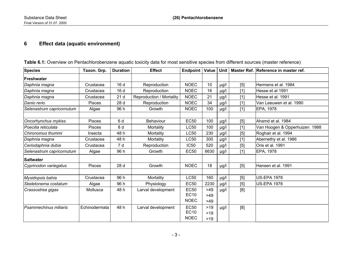# **6 Effect data (aquatic environment)**

| <b>Species</b>            | Taxon. Grp.   | <b>Duration</b> | <b>Effect</b>            | Endpoint    | Value | <b>Unit</b> |       | Master Ref. Reference in master ref. |
|---------------------------|---------------|-----------------|--------------------------|-------------|-------|-------------|-------|--------------------------------------|
| Freshwater                |               |                 |                          |             |       |             |       |                                      |
| Daphnia magna             | Crustacea     | 16d             | Reproduction             | <b>NOEC</b> | 10    | µg/l        | [5]   | Hermens et al. 1984                  |
| Daphnia magna             | Crustacea     | 16 d            | Reproduction             | <b>NOEC</b> | 16    | µg/l        | $[1]$ | Hesse et al 1991                     |
| Daphnia magna             | Crustacea     | 21d             | Reproduction / Mortality | <b>NOEC</b> | 21    | µg/l        | $[1]$ | Hesse et al. 1991                    |
| Danio rerio               | <b>Pisces</b> | 28 d            | Reproduction             | <b>NOEC</b> | 34    | µg/l        | $[1]$ | Van Leeuwen et al. 1990              |
| Selenastrum capricornutum | Algae         | 96 h            | Growth                   | <b>NOEC</b> | 100   | µg/l        | $[1]$ | EPA, 1978                            |
|                           |               |                 |                          |             |       |             |       |                                      |
| Oncorhynchus mykiss       | <b>Pisces</b> | 6 d             | <b>Behaviour</b>         | <b>EC50</b> | 100   | µg/l        | [5]   | Ahamd et al. 1984                    |
| Poecilia reticulata       | <b>Pisces</b> | 8 d             | Mortality                | <b>LC50</b> | 100   | µg/l        | $[1]$ | Van Hoogen & Opperhuizen 1988        |
| Chironomus thummi         | Insecta       | 48 h            | Mortality                | <b>LC50</b> | 230   | µg/l        | [5]   | Roghair et al. 1994                  |
| Daphnia magna             | Crustacea     | 48 h            | Mortality                | <b>LC50</b> | 300   | µg/l        | $[1]$ | Abernethy et al. 1986                |
| Ceriodaphnia dubia        | Crustacea     | 7 d             | Reproduction             | <b>IC50</b> | 520   | µg/l        | [5]   | Oris et al. 1991                     |
| Selenastrum capricornutum | Algae         | 96 h            | Growth                   | <b>EC50</b> | 6630  | µg/l        | $[1]$ | EPA, 1978                            |
| <b>Saltwater</b>          |               |                 |                          |             |       |             |       |                                      |
| Cyprinodon variegatus     | <b>Pisces</b> | 28 d            | Growth                   | <b>NOEC</b> | 18    | µg/l        | [5]   | Hansen et al. 1991                   |
|                           |               |                 |                          |             |       |             |       |                                      |
| Mysidopsis bahia          | Crustacea     | 96 h            | Mortality                | <b>LC50</b> | 160   | µg/l        | [5]   | <b>US-EPA 1978</b>                   |
| Skeletonema costatum      | Algae         | 96 h            | Physiology               | <b>EC50</b> | 2230  | µg/l        | [5]   | <b>US-EPA 1978</b>                   |
| Crassostrea gigas         | Mollusca      | 48 h            | Larval development       | <b>EC50</b> | >49   | µg/l        | [8]   |                                      |
|                           |               |                 |                          | <b>EC10</b> | $>49$ |             |       |                                      |
|                           |               |                 |                          | <b>NOEC</b> | $>49$ |             |       |                                      |
| Psammechinus miliaris     | Echinodermata | 48 h            | Larval development       | <b>EC50</b> | $>19$ | µg/l        | [8]   |                                      |
|                           |               |                 |                          | <b>EC10</b> | $>19$ |             |       |                                      |
|                           |               |                 |                          | <b>NOEC</b> | >19   |             |       |                                      |

**Table 6.1:** Overview on Pentachlorobenzene aquatic toxicity data for most sensitive species from different sources (master reference)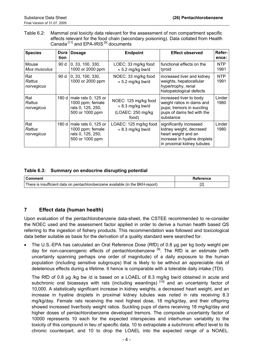Table 6.2: Mammal oral toxicity data relevant for the assessment of non compartment specific effects relevant for the food chain (secondary poisoning). Data collated from Health Canada [11] and EPA-IRIS<sup>[9]</sup> documents

| <b>Species</b>              | Dura<br>tion | <b>Dosage</b>                                                                   | <b>Endpoint</b>                                                                 | <b>Effect observed</b>                                                                                                                  | Refer-<br>ence:    |
|-----------------------------|--------------|---------------------------------------------------------------------------------|---------------------------------------------------------------------------------|-----------------------------------------------------------------------------------------------------------------------------------------|--------------------|
| Mouse<br>Mus musculus       | 90 d         | 0, 33, 100, 330,<br>1000 or 2000 ppm                                            | LOEC: 33 mg/kg food<br>$\approx$ 5.2 mg/kg bw/d                                 | functional effects on the<br>tyroid                                                                                                     | NTP<br>1991        |
| Rat<br>Rattus<br>norvegicus | 90 d         | 0, 33, 100, 330,<br>1000 or 2000 ppm                                            | NOEC: 33 mg/kg food<br>$\approx$ 5.2 mg/kg bw/d                                 | increased liver and kidney<br>weights, hepatocellular<br>hypertrophy, renal<br>histopatological defects                                 | <b>NTP</b><br>1991 |
| Rat<br>Rattus<br>norvegicus | 180 d        | male rats 0, 125 or<br>1000 ppm; female<br>rats 0, 125, 250,<br>500 or 1000 ppm | NOEC: 125 mg/kg food<br>$\approx$ 8.3 mg/kg bw/d<br>(LOAEC: 250 mg/kg)<br>food) | increased liver to body<br>weight ratios in dams and<br>pups; tremors in succling<br>pups of dams fed with the<br>substance             | Linder<br>1980     |
| Rat<br>Rattus<br>norvegicus | 180 d        | male rats 0, 125 or<br>1000 ppm; female<br>rats 0, 125, 250,<br>500 or 1000 ppm | LOAEC: 125 mg/kg food<br>$\approx$ 8.3 mg/kg bw/d                               | significantly increased<br>kidney weight, decrased<br>heart weight and an<br>increase in hyaline droplets<br>in proximal kidney tubules | Linder<br>1980     |

#### **Table 6.3: Summary on endocrine disrupting potential**

| <b>⊧Comment</b>                                                                | Reference |
|--------------------------------------------------------------------------------|-----------|
| There is insufficient data on pentachlorobenzene available (in the BKH-report) |           |

# **7 Effect data (human health)**

Upon evaluation of the pentachlorobenzene data-sheet, the CSTEE recommended to re-consider the NOEC used and the assessment factor applied in order to derive a human health based QS referring to the ingestion of fishery products. This recommendation was followed and toxicological data better suitable as basis for the derivation of a quality standard were searched for.

• The U.S.-EPA has calculated an Oral Reference Dose (RfD) of 0.8 µg per kg body weight per day for non-cancerogenic effects of pentachlorobenzene<sup>[9]</sup>. The RfD is an estimate (with uncertainty spanning perhaps one order of magnitude) of a daily exposure to the human population (including sensitive subgroups) that is likely to be without an appreciable risk of deleterious effects during a lifetime. It hence is comparable with a tolerable daily intake (TDI).

The RfD of 0.8 µg /kg bw /d is based on a LOAEL of 8.3 mg/kg bw/d obtained in acute and subchronic oral bioassays with rats (including weanlings)  $[10]$  and an uncertainty factor of 10,000. A statistically significant increase in kidney weights, a decreased heart weight, and an increase in hyaline droplets in proximal kidney tubules was noted in rats receiving 8.3 mg/kg/day. Female rats receiving the next highest dose, 18 mg/kg/day, and their offspring showed increased liver/body weight ratios. Suckling pups of dams receiving 18 mg/kg/day and higher doses of pentachlorobenzene developed tremors. The composite uncertainty factor of 10000 represents 10 each for the expected interspecies and interhuman variability to the toxicity of this compound in lieu of specific data, 10 to extrapolate a subchronic effect level to its chronic counterpart, and 10 to drop the LOAEL into the expected range of a NOAEL.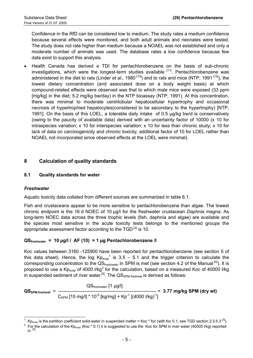Confidence in the RfD can be considered low to medium. The study rates a medium confidence because several effects were monitored, and both adult animals and neonates were tested. The study does not rate higher than medium because a NOAEL was not established and only a moderate number of animals was used. The database rates a low confidence because few data exist to support this analysis.

• Health Canada has derived a TDI for pentachlorobenzene on the basis of sub-chronic investigations, which were the longest-term studies available  $[11]$ . Pentachlorobenzene was administered in the diet to rats (Linder *et al.,* 1980<sup>[10]</sup>) and to rats and mice (NTP, 1991<sup>[12]</sup>), the lowest dietary concentration (and associated dose on a body weight basis) at which compound-related effects were observed was that to which male mice were exposed (33 ppm [mg/kg] in the diet; 5.2 mg/kg bw/day) in the NTP bioassay (NTP, 1991). At this concentration, there was minimal to moderate centrilobular hepatocellular hypertrophy and occasional necrosis of hypertrophied hepatocytes(considered to be secondary to the hypertrophy) [NTP, 1991]. On the basis of this LOEL, a tolerable daily intake of 0.5 µg/kg bw/d is conservatively (owing to the paucity of available data) derived with an uncertainty factor of 10000 (x 10 for intraspecies variation; x 10 for interspecies variation; x 10 for less than chronic study; x 10 for lack of data on carcinogenicity and chronic toxicity; additional factor of 10 for LOEL rather than NOAEL not incorporated since observed effects at the LOEL were minimal).

# **8 Calculation of quality standards**

#### **8.1 Quality standards for water**

#### *Freshwater*

Aquatic toxicity data collated from different sources are summarized in table 6.1.

Fish and crustaceans appear to be more sensitive to pentachlorobenzene than algae. The lowest chronic endpoint is the 16 d NOEC of 10 µg/l for the freshwater crustacean *Daphnia magna*. As long-term NOEC data across the three trophic levels (fish, daphnia and algae) are available and the species most sensitive in the acute toxicity tests belongs to the mentioned groups the appropriate assessment factor according to the  $TGD^{[3]}$  is 10.

#### **QSfreshwater = 10 µg/l / AF (10) = 1 µg Pentachlorobenzene /l**

Koc values between 3160 -125900 have been reported for pentachlorobenzene (see section 5 of this data sheet). Hence, the log  $Kp_{susp}^1$  $Kp_{susp}^1$  is 3.5 – 5.1 and the trigger criterion to calculate the corresponding concentration to the  $\text{QS}_{\text{freshwater}}$  in SPM is met (see section 4.2 of the Manual  $^{[4]}$ ). It is proposed to use a Kp<sub>susp</sub> of 4000 l/kg<sup>[2](#page-6-1)</sup> for the calculation, based on a measured Koc of 40000 l/kg in suspended sediment of river water  $^{[5]}$ . The  $\mathrm{QS}_{\mathrm{SPM, free}$ hwat is derived as follows:

$$
QS_{\text{freshwate}} \text{[1 µg/l]}
$$
\n
$$
QS_{\text{SPM.freshwat}} = \frac{QS_{\text{freshwate}} \text{[1 µg/l]}}{CS_{\text{SPM}} \text{[15 mg/l]} * 10^{-6} \text{[kg/mg]} + Kp^{-1} \text{[(4000 l/kg)}^{-1}]}
$$

<span id="page-6-0"></span> $\overline{\phantom{a}}$ 1  $Kp_{\text{susp}}$  is the partition coefficient solid-water in suspended matter = Koc \* foc (with foc 0.1; see TGD section 2.3.5.3<sup>[3]</sup>).<br>For the calculation of the Kp<sub>susp</sub> (Koc \* 0.1) it is suggested to use the Koc for SPM in r

<span id="page-6-1"></span> $\mathsf{in}$  [5].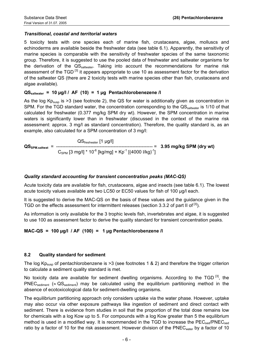# *Transitional, coastal and territorial waters*

5 toxicity tests with one species each of marine fish, crustaceans, algae, molluscs and echinoderms are available beside the freshwater data (see table 6.1). Apparently, the sensitivity of marine species is comparable with the sensitivity of freshwater species of the same taxonomic group. Therefore, it is suggested to use the pooled data of freshwater and saltwater organisms for the derivation of the  $QS_{salwater}$ . Taking into account the recommendations for marine risk assessment of the TGD<sup>[3]</sup> it appears appropriate to use 10 as assessment factor for the derivation of the saltwater QS (there are 2 toxicity tests with marine species other than fish, crustaceans and algae available).

#### **QSsaltwater = 10 µg/l / AF (10) = 1 µg Pentachlorobenezene /l**

As the log  $Kp_{susp}$  is >3 (see footnote 2), the QS for water is additionally given as concentration in SPM. For the TGD standard water, the concentration corresponding to the  $QS_{\text{salwater}}$  is 1/10 of that calculated for freshwater (0.377 mg/kg SPM dry wt). However, the SPM concentration in marine waters is significantly lower than in freshwater (discussed in the context of the marine risk assessment: approx. 3 mg/l as standard concentration). Therefore, the quality standard is, as an example, also calculated for a SPM concentration of 3 mg/l:

 $\text{QS}_{\text{freshwater}}$  [1  $\mu$ g/l] **QSSPM.saltwat** = -------------------------------------------------------------- = **3.95 mg/kg SPM (dry wt)**  $\rm C_{SPM}$  [3 mg/l] \* 10<sup>-6</sup> [kg/mg] + Kp<sup>-1</sup> [(4000 l/kg)<sup>-1</sup>]

### *Quality standard accounting for transient concentration peaks (MAC-QS)*

Acute toxicity data are available for fish, crustaceans, algae and insects (see table 6.1). The lowest acute toxicity values available are two LC50 or EC50 values for fish of 100 µg/l each.

It is suggested to derive the MAC-QS on the basis of these values and the guidance given in the TGD on the effects assessment for intermittent releases (section 3.3.2 of part II of <sup>[3]</sup>).

As information is only available for the 3 trophic levels fish, invertebrates and algae, it is suggested to use 100 as assessment factor to derive the quality standard for transient concentration peaks.

#### **MAC-QS = 100 µg/l / AF (100) = 1 µg Pentachlorobenzene /l**

#### **8.2 Quality standard for sediment**

The log  $Kp_{\text{susp}}$  of pentachlorobenzene is >3 (see footnotes 1 & 2) and therefore the trigger criterion to calculate a sediment quality standard is met.

No toxicity data are available for sediment dwelling organisms. According to the TGD<sup>[3]</sup>, the PNEC<sub>sediment</sub> ( $\approx$  QS<sub>sediment</sub>) may be calculated using the equilibrium partitioning method in the absence of ecotoxicological data for sediment-dwelling organisms.

The equilibrium partitioning approach only considers uptake via the water phase. However, uptake may also occur via other exposure pathways like ingestion of sediment and direct contact with sediment. There is evidence from studies in soil that the proportion of the total dose remains low for chemicals with a log Kow up to 5. For compounds with a log Kow greater than 5 the equilibrium method is used in a modified way. It is recommended in the TGD to increase the  $PEC_{sed}/PNEC_{sed}$ ratio by a factor of 10 for the risk assessment. However division of the PNEC<sub>water</sub> by a factor of 10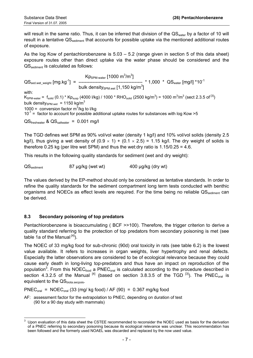will result in the same ratio. Thus, it can be inferred that division of the QS<sub>water</sub> by a factor of 10 will result in a tentative QS<sub>sediment</sub> that accounts for possible uptake via the mentioned additional routes of exposure.

As the log Kow of pentachlorobenzene is  $5.03 - 5.2$  (range given in section 5 of this data sheet) exposure routes other than direct uptake via the water phase should be considered and the QS<sub>sediment</sub> is calculated as follows:

 $\mathsf{Kp}_{\mathsf{SPM-water}}$  [1000 m $^3$ /m $^3$ ] QSsed.wet\_weight [mg.kg-1] = ----------------------------------------- \* 1,000 \* QSwater [mg/l] \*10-1  $bulk$  density<sub>SPM.wet</sub> [1,150 kg/m<sup>3</sup>] with:  $K_{\text{SPM-water}}$  =  $f_{\text{solid}}$  (0.1) \*  $\text{Kp}_{\text{susp}}$  (4000 l/kg) / 1000 \* RHO $_{\text{solid}}$  (2500 kg/m $^3$ ) = 1000 m $^3$ /m $^3$  (sect 2.3.5 of  $^{[3]}$ ) bulk density<sub>SPM.wet</sub> = 1150 kg/m<sup>3</sup> 1000 = conversion factor  $m^3/kg$  to I/kg  $10^{-1}$  = factor to account for possible additional uptake routes for substances with log Kow >5  $\text{QS}_{\text{freshwater}}$  &  $\text{QS}_{\text{saltwater}}$  = 0.001 mg/l

The TGD defines wet SPM as 90% vol/vol water (density 1 kg/l) and 10% vol/vol solids (density 2.5 kg/l), thus giving a wet density of  $(0.9 \times 1) + (0.1 \times 2.5) = 1.15$  kg/l. The dry weight of solids is therefore 0.25 kg (per litre wet SPM) and thus the wet:dry ratio is  $1.15/0.25 = 4.6$ .

This results in the following quality standards for sediment (wet and dry weight):

QS<sub>sediment</sub> 87 µg/kg (wet wt) 400 µg/kg (dry wt)

The values derived by the EP-method should only be considered as tentative standards. In order to refine the quality standards for the sediment compartment long term tests conducted with benthic organisms and NOECs as effect levels are required. For the time being no reliable  $QS_{\text{sediment}}$  can be derived.

#### **8.3 Secondary poisoning of top predators**

Pentachlorobenzene is bioaccumulating ( BCF >>100). Therefore, the trigger criterion to derive a quality standard referring to the protection of top predators from secondary poisoning is met (see table 1a of the Manual  $^{[4]}$ ).

The NOEC of 33 mg/kg food for sub-chronic (90d) oral toxicity in rats (see table 6.2) is the lowest value available. It refers to increases in organ weights, liver hypertrophy and renal defects. Especially the latter observations are considered to be of ecological relevance because they could cause early death in long-living top-predators and thus have an impact on reproduction of the population<sup>[3](#page-8-0)</sup>. From this NOEC<sub>food</sub> a PNEC<sub>oral</sub> is calculated according to the procedure described in section 4.3.2.5 of the Manual  $^{[4]}$  (based on section 3.8.3.5 of the TGD  $^{[3]}$ ). The PNEC<sub>oral</sub> is equivalent to the  $\mathsf{QS}_{\text{biota}\text{-}s\text{-}conis}$ .

 $PNEC<sub>oral</sub> = NOEC<sub>oral</sub> (33 (mg/kg food) / AF (90) = 0.367 mg/kg food$ 

AF: assessment factor for the extrapolation to PNEC, depending on duration of test (90 for a 90 day study with mammals)

<span id="page-8-0"></span> $\overline{3}$ <sup>3</sup> Upon evaluation of this data sheet the CSTEE recommended to reconsider the NOEC used as basis for the derivation of a PNEC referring to secondary poisoning because its ecological relevance was unclear. This recommendation has been followed and the formerly used NOAEL was discarded and replaced by the now used value.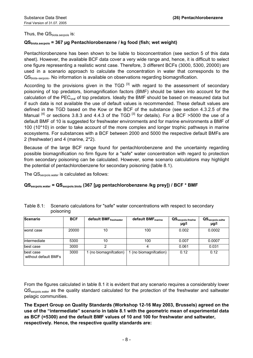Thus, the  $\text{QS}_{\text{biota} \text{.} \text{seconds}}$  is:

### **QSbiota.secpois = 367 µg Pentachlorobenzene / kg food (fish; wet weight)**

Pentachlorobenzene has been shown to be liable to bioconcentration (see section 5 of this data sheet). However, the available BCF data cover a very wide range and, hence, it is difficult to select one figure representing a realistic worst case. Therefore, 3 different BCFs (3000, 5300, 20000) are used in a scenario approach to calculate the concentration in water that corresponds to the QSbiota.secpois. No information is available on observations regarding biomagnification.

According to the provisions given in the TGD  $^{[3]}$  with regard to the assessment of secondary poisoning of top predators, biomagnification factors (BMF) should be taken into account for the calculation of the  $PEC_{\text{oral}}$  of top predators. Ideally the BMF should be based on measured data but if such data is not available the use of default values is recommended. These default values are defined in the TGD based on the Kow or the BCF of the substance (see section 4.3.2.5 of the Manual  $^{[4]}$  or sections 3.8.3 and 4.4.3 of the TGD  $^{[3]}$  for details). For a BCF >5000 the use of a default BMF of 10 is suggested for freshwater environments and for marine environments a BMF of 100 (10\*10) in order to take account of the more complex and longer trophic pathways in marine ecosystems. For substances with a BCF between 2000 and 5000 the respective default BMFs are 2 (freshwater) and 4 (marine, 2\*2).

Because of the large BCF range found for pentachlorobenzene and the uncertainty regarding possible biomagnification no firm figure for a "safe" water concentration with regard to protection from secondary poisoning can be calculated. However, some scenario calculations may highlight the potential of pentachlorobenzene for secondary poisoning (table 8.1).

The QS<sub>secpois.water</sub> is calculated as follows:

#### **QSsecpois.water = QSsecpois.biota (367 [µg pentachlorobenzene /kg prey]) / BCF \* BMF**

| Scenario                          | <b>BCF</b> | default BMFfreshwater  | default BMF <sub>marine</sub> | $\mathsf{QS}_{\mathsf{secpois}.{\mathsf{freshw}}}$<br>µg/l | $\mathbf{QS}_{\mathrm{seepois.saltw}}$<br>µg/l |
|-----------------------------------|------------|------------------------|-------------------------------|------------------------------------------------------------|------------------------------------------------|
| worst case                        | 20000      | 10                     | 100                           | 0.002                                                      | 0.0002                                         |
| lintermediate                     | 5300       | 10                     | 100                           | 0.007                                                      | 0.0007                                         |
| best case                         | 3000       | າ                      |                               | 0.061                                                      | 0.031                                          |
| best case<br>without default BMFs | 3000       | 1 (no biomagnifcation) | 1 (no biomagnification)       | 0.12                                                       | 0.12                                           |

| Table 8.1: Scenario calculations for "safe" water concentrations with respect to secondary |
|--------------------------------------------------------------------------------------------|
| poisoning                                                                                  |

From the figures calculated in table 8.1 it is evident that any scenario requires a considerably lower QS<sub>secpois water</sub> as the quality standard calculated for the protection of the freshwater and saltwater pelagic communities.

**The Expert Group on Quality Standards (Workshop 12-16 May 2003, Brussels) agreed on the use of the "intermediate" scenario in table 8.1 with the geometric mean of experimental data as BCF (=5300) and the default BMF values of 10 and 100 for freshwater and saltwater, respectively. Hence, the respective quality standards are:**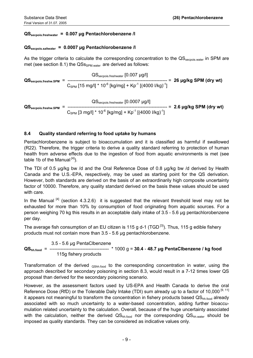# **QSsecpois.freshwater = 0.007 µg Pentachlorobenzene /l**

#### **QSsecpois.saltwater = 0.0007 µg Pentachlorobenzene /l**

As the trigger criteria to calculate the corresponding concentration to the QSsecpois water in SPM are met (see section 8.1) the  $QSS<sub>SPM, water</sub>$  are derived as follows:

 QSsecpois.freshwater [0.007 µg/l] **QSsecpois.freshw.SPM** = ---------------------------------------------------------------- = **26 µg/kg SPM (dry wt)**  $C_{SPM}$  [15 mg/l] \* 10<sup>-6</sup> [kg/mg] + Kp<sup>-1</sup> [(4000 l/kg)<sup>-1</sup>]

 $\text{QS}_{\text{secpois.freshwater}}$  [0.0007  $\mu$ g/l] **QSsecpois.freshw.SPM** = ---------------------------------------------------------------- = **2.6 µg/kg SPM (dry wt)**  $C_{SPM}$  [3 mg/l]  $*$  10<sup>-6</sup> [kg/mg] + Kp<sup>-1</sup> [(4000 l/kg)<sup>-1</sup>]

# **8.4 Quality standard referring to food uptake by humans**

Pentachlorobenzene is subject to bioaccumulation and it is classified as harmful if swallowed (R22). Therefore, the trigger criteria to derive a quality standard referring to protection of human health from adverse effects due to the ingestion of food from aquatic environments is met (see table 1b of the Manual  $^{[4]}$ ).

The TDI of 0.5 µg/kg bw /d and the Oral Reference Dose of 0.8 µg/kg bw /d derived by Health Canada and the U.S.-EPA, respectively, may be used as starting point for the QS derivation. However, both standards are derived on the basis of an extraordinarily high composite uncertainty factor of 10000. Therefore, any quality standard derived on the basis these values should be used with care.

In the Manual  $[4]$  (section 4.3.2.6) it is suggested that the relevant threshold level may not be exhausted for more than 10% by consumption of food originating from aquatic sources. For a person weighing 70 kg this results in an acceptable daily intake of 3.5 - 5.6 µg pentachlorobenzene per day.

The average fish consumption of an EU citizen is 115 g d-1 (TGD<sup>[3]</sup>). Thus, 115 g edible fishery products must not contain more than 3.5 - 5.6 µg pentachlorobenzene.

3.5 - 5.6 µg PentaClbenzene

**QShh.food** = -------------------------------------- \* 1000 g = **30.4** - **48.7 µg PentaClbenzene / kg food** 115g fishery products

Transformation of the derived <sub>QShh.food</sub> to the corresponding concentration in water, using the approach described for secondary poisoning in section 8.3, would result in a 7-12 times lower QS proposal than derived for the secondary poisoning scenario.

However, as the assessment factors used by US-EPA and Health Canada to derive the oral Reference Dose (RfD) or the Tolerable Daily Intake (TDI) sum already up to a factor of 10,000<sup>[9, 11]</sup> it appears not meaningful to transform the concentration in fishery products based  $QS<sub>hh food</sub>$  already associated with so much uncertainty to a water-based concentration, adding further bioaccumulation related uncertainty to the calculation. Overall, because of the huge uncertainty associated with the calculation, neither the derived QS<sub>hh.food</sub> nor the corresponding QS<sub>hh.water</sub> should be imposed as quality standards. They can be considered as indicative values only.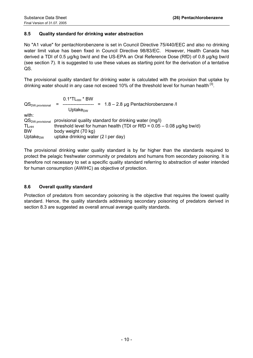# **8.5 Quality standard for drinking water abstraction**

No "A1 value" for pentachlorobenzene is set in Council Directive 75/440/EEC and also no drinking water limit value has been fixed in Council Directive 98/83/EC. However, Health Canada has derived a TDI of 0.5 µg/kg bw/d and the US-EPA an Oral Reference Dose (RfD) of 0.8 µg/kg bw/d (see section 7). It is suggested to use these values as starting point for the derivation of a tentative QS.

The provisional quality standard for drinking water is calculated with the provision that uptake by drinking water should in any case not exceed 10% of the threshold level for human health  $^{[3]}$ .

| $\mathsf{QS}_{\mathsf{DW}.\mathsf{provisional}}$ | $0.1*TL_{HH}*BW$<br>$= 1.8 - 2.8$ µg Pentachlorobenzene /l<br>Uptake $_{\text{DW}}$ |
|--------------------------------------------------|-------------------------------------------------------------------------------------|
| with:                                            |                                                                                     |
| $\mathsf{QS}_{\mathsf{DW}.\mathsf{provisional}}$ | provisional quality standard for drinking water (mg/l)                              |
| $TL_{HH}$                                        | threshold level for human health (TDI or RfD = $0.05 - 0.08$ µg/kg bw/d)            |
| <b>BW</b>                                        | body weight (70 kg)                                                                 |
| Uptake $_{DW}$                                   | uptake drinking water (2 I per day)                                                 |

The provisional drinking water quality standard is by far higher than the standards required to protect the pelagic freshwater community or predators and humans from secondary poisoning. It is therefore not necessary to set a specific quality standard referring to abstraction of water intended for human consumption (AWIHC) as objective of protection.

#### **8.6 Overall quality standard**

Protection of predators from secondary poisoning is the objective that requires the lowest quality standard. Hence, the quality standards addressing secondary poisoning of predators derived in section 8.3 are suggested as overall annual average quality standards.